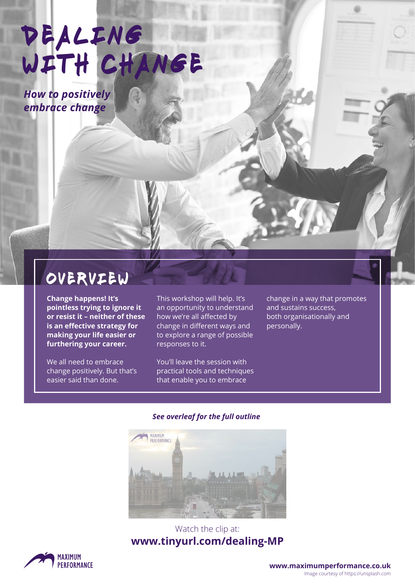DEALING WITH CHANGE

*How to positively embrace change*

# overview

**Change happens! It's pointless trying to ignore it or resist it – neither of these is an effective strategy for making your life easier or furthering your career.** 

We all need to embrace change positively. But that's easier said than done.

This workshop will help. It's an opportunity to understand how we're all affected by change in different ways and to explore a range of possible responses to it.

You'll leave the session with practical tools and techniques that enable you to embrace

change in a way that promotes and sustains success, both organisationally and personally.

#### *See overleaf for the full outline*



# Watch the clip at: **[www.tinyurl.com/dealing-MP](http://www.tinyurl.com/dealing-MP)**



**[www.maximumperformance.co.uk](https://maximumperformance.co.uk/)** Image courtesy of https://unsplash.com